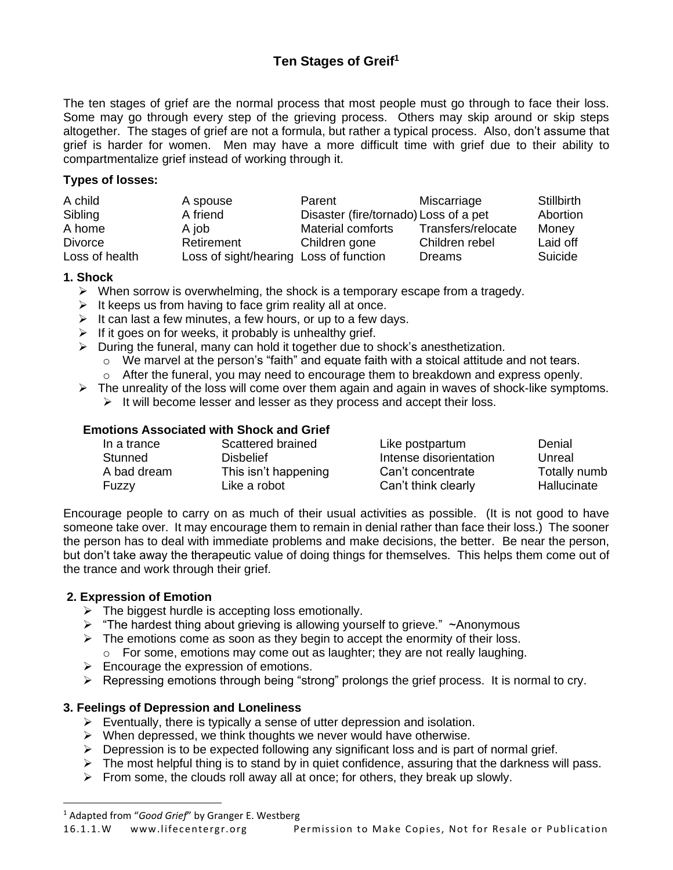# **Ten Stages of Greif<sup>1</sup>**

The ten stages of grief are the normal process that most people must go through to face their loss. Some may go through every step of the grieving process. Others may skip around or skip steps altogether. The stages of grief are not a formula, but rather a typical process. Also, don't assume that grief is harder for women. Men may have a more difficult time with grief due to their ability to compartmentalize grief instead of working through it.

# **Types of losses:**

| A child        | A spouse                               | Parent                                | Miscarriage        | <b>Stillbirth</b> |
|----------------|----------------------------------------|---------------------------------------|--------------------|-------------------|
| Sibling        | A friend                               | Disaster (fire/tornado) Loss of a pet |                    | Abortion          |
| A home         | A job                                  | Material comforts                     | Transfers/relocate | Money             |
| <b>Divorce</b> | Retirement                             | Children gone                         | Children rebel     | Laid off          |
| Loss of health | Loss of sight/hearing Loss of function |                                       | Dreams             | Suicide           |

#### **1. Shock**

- $\triangleright$  When sorrow is overwhelming, the shock is a temporary escape from a tragedy.
- $\triangleright$  It keeps us from having to face grim reality all at once.
- $\triangleright$  It can last a few minutes, a few hours, or up to a few days.
- $\triangleright$  If it goes on for weeks, it probably is unhealthy grief.
- ➢ During the funeral, many can hold it together due to shock's anesthetization.
	- $\circ$  We marvel at the person's "faith" and equate faith with a stoical attitude and not tears.
	- o After the funeral, you may need to encourage them to breakdown and express openly.
- $\triangleright$  The unreality of the loss will come over them again and again in waves of shock-like symptoms.
	- ➢ It will become lesser and lesser as they process and accept their loss.

#### **Emotions Associated with Shock and Grief**

| In a trance | Scattered brained    | Like postpartum        | Denial             |
|-------------|----------------------|------------------------|--------------------|
| Stunned     | <b>Dishelief</b>     | Intense disorientation | Unreal             |
| A bad dream | This isn't happening | Can't concentrate      | Totally numb       |
| Fuzzy       | Like a robot         | Can't think clearly    | <b>Hallucinate</b> |

Encourage people to carry on as much of their usual activities as possible. (It is not good to have someone take over. It may encourage them to remain in denial rather than face their loss.) The sooner the person has to deal with immediate problems and make decisions, the better. Be near the person, but don't take away the therapeutic value of doing things for themselves. This helps them come out of the trance and work through their grief.

# **2. Expression of Emotion**

- ➢ The biggest hurdle is accepting loss emotionally.
- ➢ "The hardest thing about grieving is allowing yourself to grieve." ~Anonymous
- ➢ The emotions come as soon as they begin to accept the enormity of their loss. o For some, emotions may come out as laughter; they are not really laughing.
- $\triangleright$  Encourage the expression of emotions.
- $\triangleright$  Repressing emotions through being "strong" prolongs the grief process. It is normal to cry.

#### **3. Feelings of Depression and Loneliness**

- $\triangleright$  Eventually, there is typically a sense of utter depression and isolation.
- $\triangleright$  When depressed, we think thoughts we never would have otherwise.
- ➢ Depression is to be expected following any significant loss and is part of normal grief.
- $\triangleright$  The most helpful thing is to stand by in quiet confidence, assuring that the darkness will pass.
- $\triangleright$  From some, the clouds roll away all at once; for others, they break up slowly.

<sup>1</sup> Adapted from "*Good Grief*" by Granger E. Westberg

<sup>16.1.1.</sup>W www.lifecentergr.org Permission to Make Copies, Not for Resale or Publication